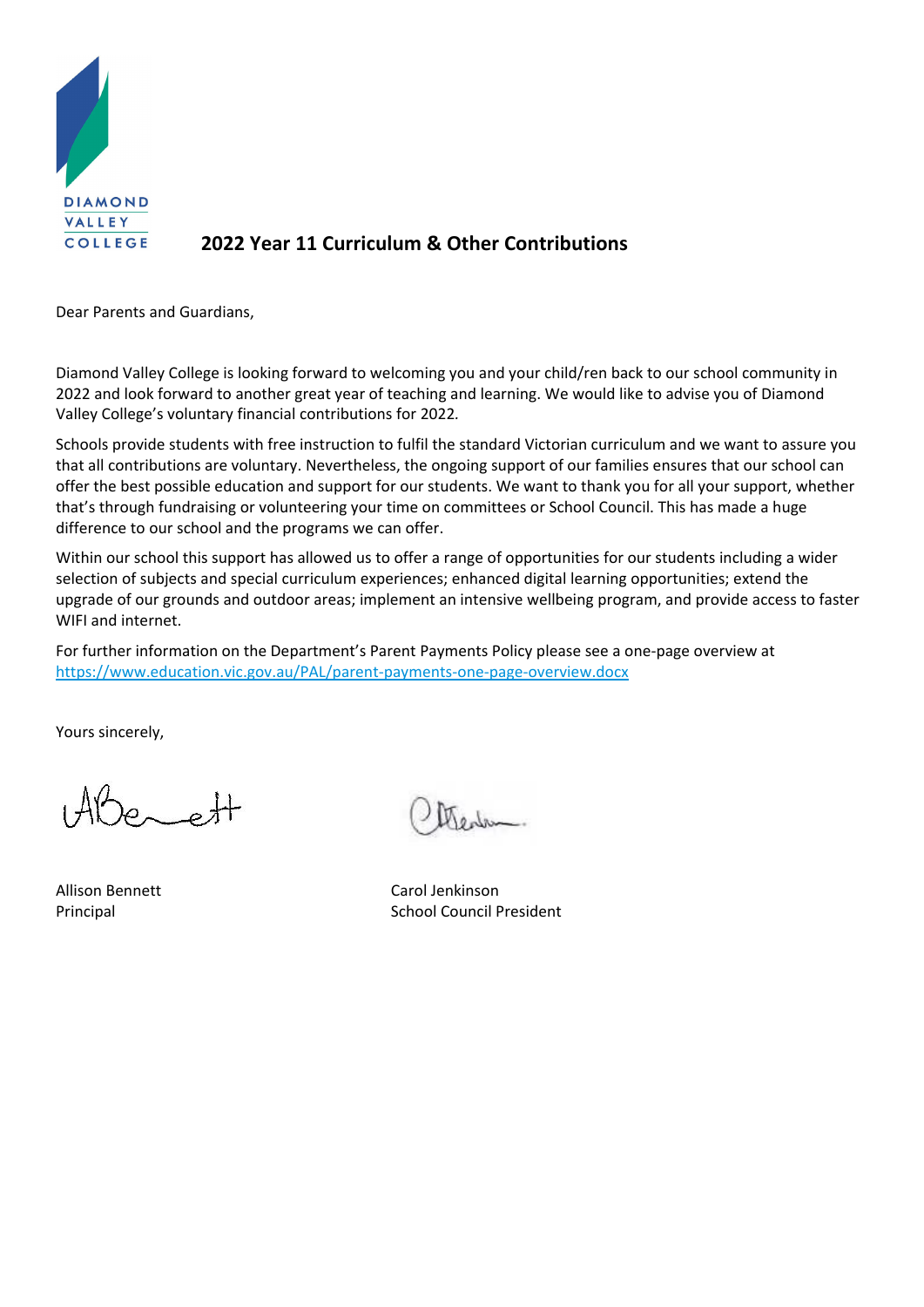

# **2022 Year 11 Curriculum & Other Contributions**

Dear Parents and Guardians,

Diamond Valley College is looking forward to welcoming you and your child/ren back to our school community in 2022 and look forward to another great year of teaching and learning. We would like to advise you of Diamond Valley College's voluntary financial contributions for 2022*.*

Schools provide students with free instruction to fulfil the standard Victorian curriculum and we want to assure you that all contributions are voluntary. Nevertheless, the ongoing support of our families ensures that our school can offer the best possible education and support for our students. We want to thank you for all your support, whether that's through fundraising or volunteering your time on committees or School Council. This has made a huge difference to our school and the programs we can offer.

Within our school this support has allowed us to offer a range of opportunities for our students including a wider selection of subjects and special curriculum experiences; enhanced digital learning opportunities; extend the upgrade of our grounds and outdoor areas; implement an intensive wellbeing program, and provide access to faster WIFI and internet.

For further information on the Department's Parent Payments Policy please see a one‐page overview at https://www.education.vic.gov.au/PAL/parent‐payments‐one‐page‐overview.docx

Yours sincerely,

 $\rho_{\tau}$   $\rho$ 

Allison Bennett Carol Jenkinson Principal **Disk Principal** School Council President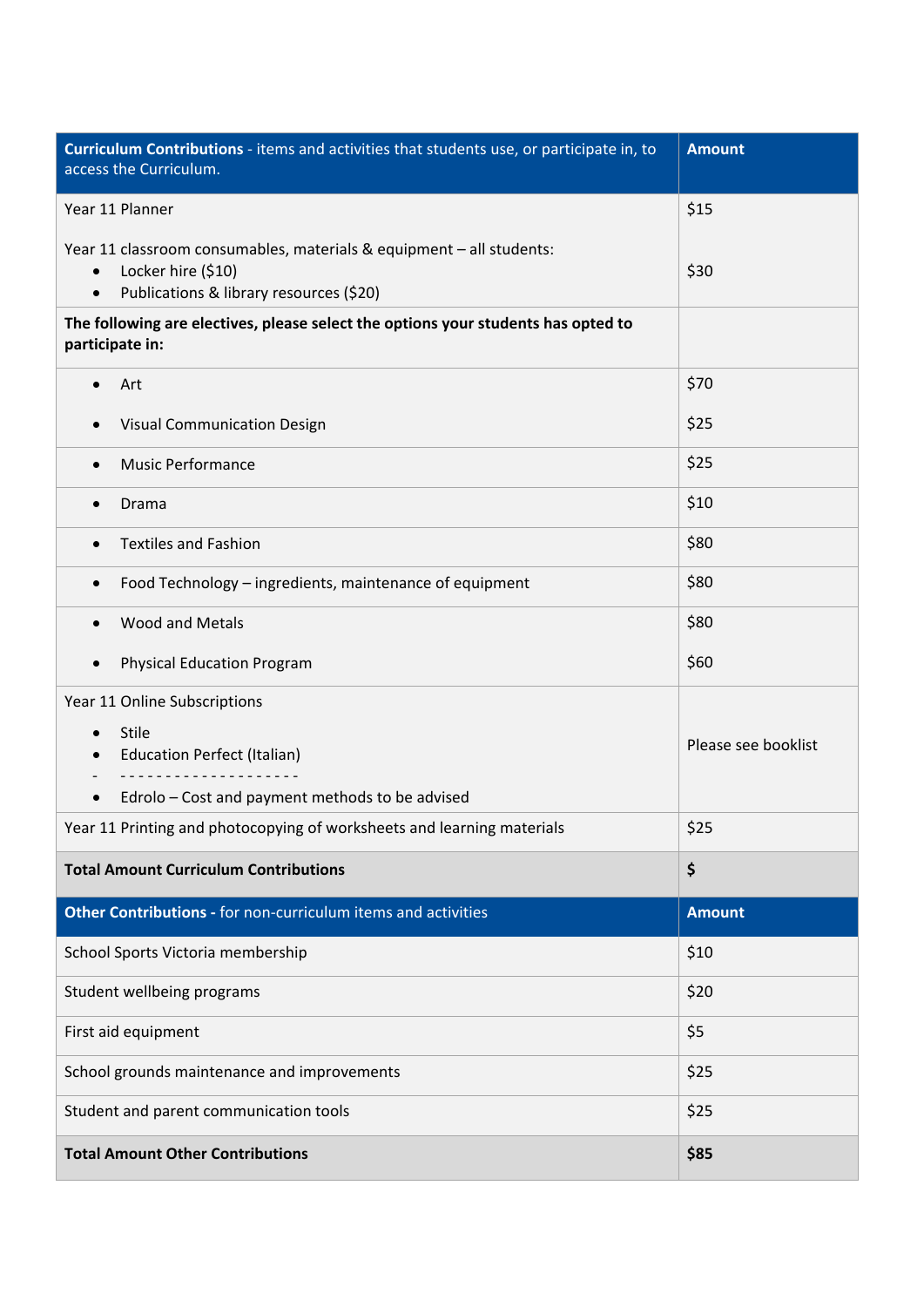| Curriculum Contributions - items and activities that students use, or participate in, to<br>access the Curriculum.                                              | <b>Amount</b>       |
|-----------------------------------------------------------------------------------------------------------------------------------------------------------------|---------------------|
| Year 11 Planner                                                                                                                                                 | \$15                |
| Year 11 classroom consumables, materials & equipment - all students:<br>Locker hire (\$10)<br>$\bullet$<br>Publications & library resources (\$20)<br>$\bullet$ | \$30                |
| The following are electives, please select the options your students has opted to<br>participate in:                                                            |                     |
| Art<br>$\bullet$                                                                                                                                                | \$70                |
| Visual Communication Design<br>$\bullet$                                                                                                                        | \$25                |
| <b>Music Performance</b><br>$\bullet$                                                                                                                           | \$25                |
| Drama                                                                                                                                                           | \$10                |
| <b>Textiles and Fashion</b>                                                                                                                                     | \$80                |
| Food Technology - ingredients, maintenance of equipment<br>$\bullet$                                                                                            | \$80                |
| <b>Wood and Metals</b><br>$\bullet$                                                                                                                             | \$80                |
| <b>Physical Education Program</b><br>$\bullet$                                                                                                                  | \$60                |
| Year 11 Online Subscriptions                                                                                                                                    |                     |
| <b>Stile</b><br>$\bullet$<br><b>Education Perfect (Italian)</b>                                                                                                 | Please see booklist |
| Edrolo - Cost and payment methods to be advised                                                                                                                 |                     |
| Year 11 Printing and photocopying of worksheets and learning materials                                                                                          | \$25                |
| <b>Total Amount Curriculum Contributions</b>                                                                                                                    | \$                  |
| Other Contributions - for non-curriculum items and activities                                                                                                   | <b>Amount</b>       |
| School Sports Victoria membership                                                                                                                               | \$10                |
| Student wellbeing programs                                                                                                                                      | \$20                |
| First aid equipment                                                                                                                                             | \$5                 |
| School grounds maintenance and improvements                                                                                                                     | \$25                |
| Student and parent communication tools                                                                                                                          | \$25                |
| <b>Total Amount Other Contributions</b>                                                                                                                         | \$85                |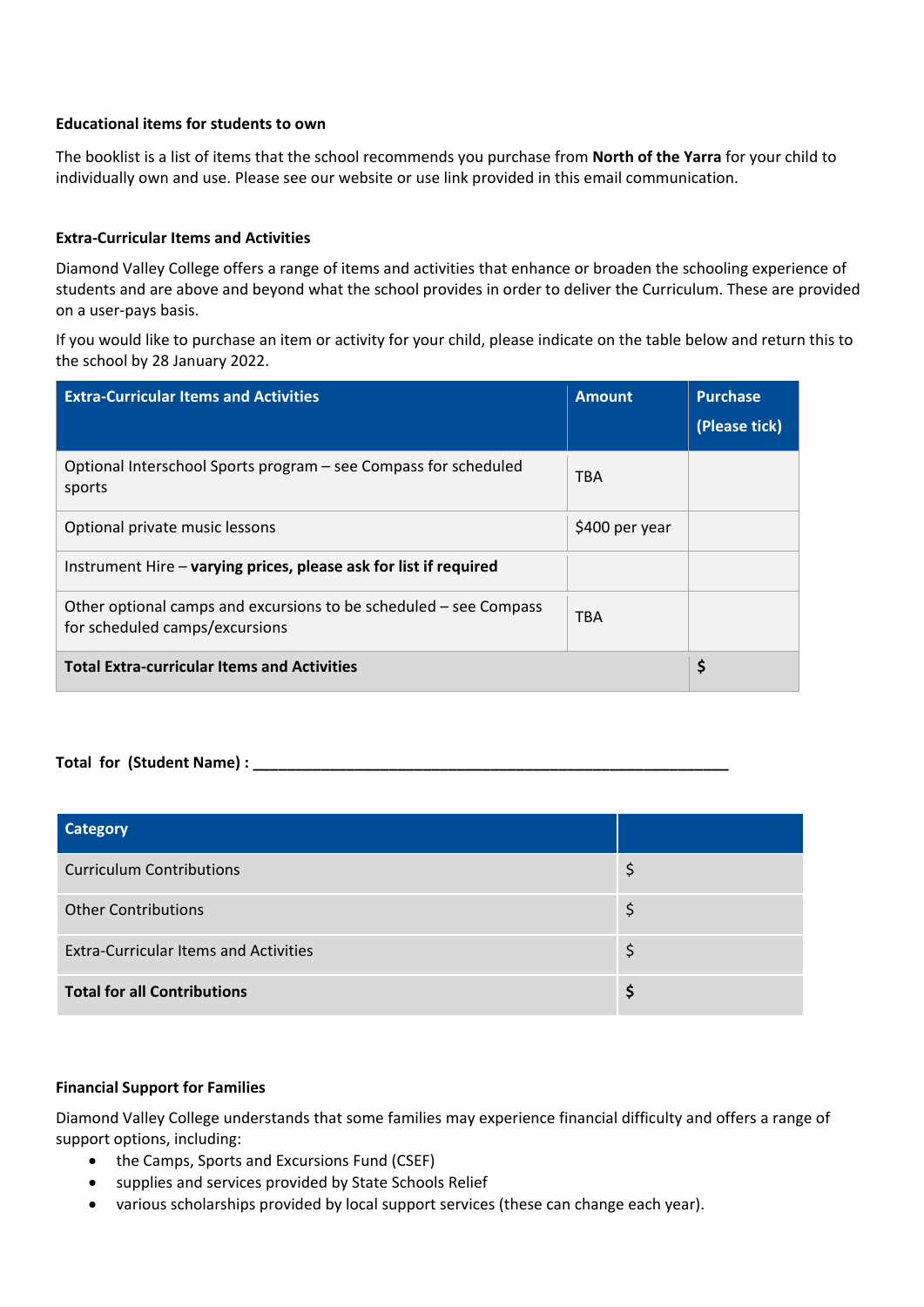# **Educational items for students to own**

The booklist is a list of items that the school recommends you purchase from **North of the Yarra** for your child to individually own and use. Please see our website or use link provided in this email communication.

# **Extra‐Curricular Items and Activities**

Diamond Valley College offers a range of items and activities that enhance or broaden the schooling experience of students and are above and beyond what the school provides in order to deliver the Curriculum. These are provided on a user‐pays basis.

If you would like to purchase an item or activity for your child, please indicate on the table below and return this to the school by 28 January 2022.

| <b>Extra-Curricular Items and Activities</b>                                                        | <b>Amount</b>  | <b>Purchase</b><br>(Please tick) |
|-----------------------------------------------------------------------------------------------------|----------------|----------------------------------|
| Optional Interschool Sports program – see Compass for scheduled<br>sports                           | <b>TBA</b>     |                                  |
| Optional private music lessons                                                                      | \$400 per year |                                  |
| Instrument Hire – varying prices, please ask for list if required                                   |                |                                  |
| Other optional camps and excursions to be scheduled – see Compass<br>for scheduled camps/excursions | <b>TBA</b>     |                                  |
| <b>Total Extra-curricular Items and Activities</b>                                                  |                | \$                               |

**Total for (Student Name) :**  $\blacksquare$ 

| Category                                     |  |
|----------------------------------------------|--|
| <b>Curriculum Contributions</b>              |  |
| <b>Other Contributions</b>                   |  |
| <b>Extra-Curricular Items and Activities</b> |  |
| <b>Total for all Contributions</b>           |  |

#### **Financial Support for Families**

Diamond Valley College understands that some families may experience financial difficulty and offers a range of support options, including:

- the Camps, Sports and Excursions Fund (CSEF)
- supplies and services provided by State Schools Relief
- various scholarships provided by local support services (these can change each year).